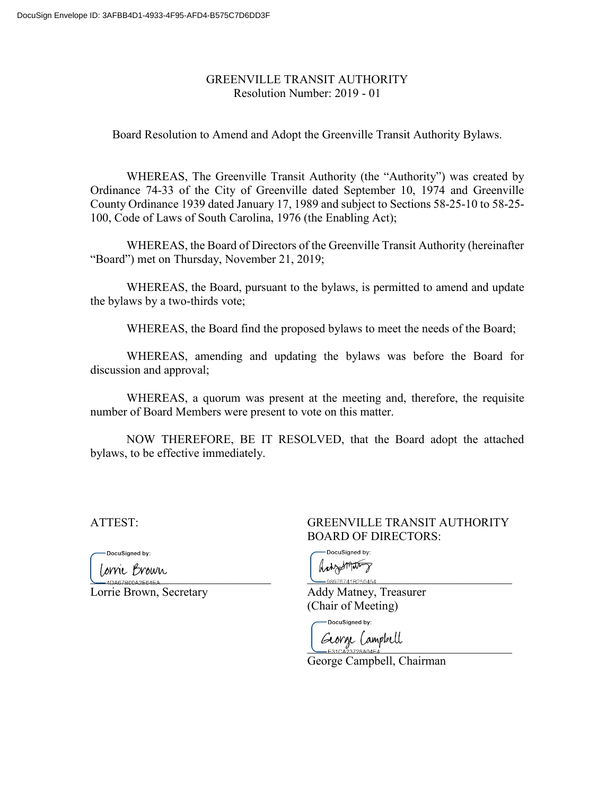#### GREENVILLE TRANSIT AUTHORITY Resolution Number: 2019 - 01

Board Resolution to Amend and Adopt the Greenville Transit Authority Bylaws.

WHEREAS, The Greenville Transit Authority (the "Authority") was created by Ordinance 74-33 of the City of Greenville dated September 10, 1974 and Greenville County Ordinance 1939 dated January 17, 1989 and subject to Sections 58-25-10 to 58-25- 100, Code of Laws of South Carolina, 1976 (the Enabling Act);

WHEREAS, the Board of Directors of the Greenville Transit Authority (hereinafter "Board") met on Thursday, November 21, 2019;

WHEREAS, the Board, pursuant to the bylaws, is permitted to amend and update the bylaws by a two-thirds vote;

WHEREAS, the Board find the proposed bylaws to meet the needs of the Board;

WHEREAS, amending and updating the bylaws was before the Board for discussion and approval;

WHEREAS, a quorum was present at the meeting and, therefore, the requisite number of Board Members were present to vote on this matter.

NOW THEREFORE, BE IT RESOLVED, that the Board adopt the attached bylaws, to be effective immediately.

DocuSigned by:

 $\overbrace{0.40467800A2F64FA...}^{D+ 2000000}$ 

Lorrie Brown, Secretary **Addy Matney**, Treasurer

### ATTEST: GREENVILLE TRANSIT AUTHORITY BOARD OF DIRECTORS:

DocuSigned by: Antzellato

(Chair of Meeting)

DocuSigned by: George Campbell

George Campbell, Chairman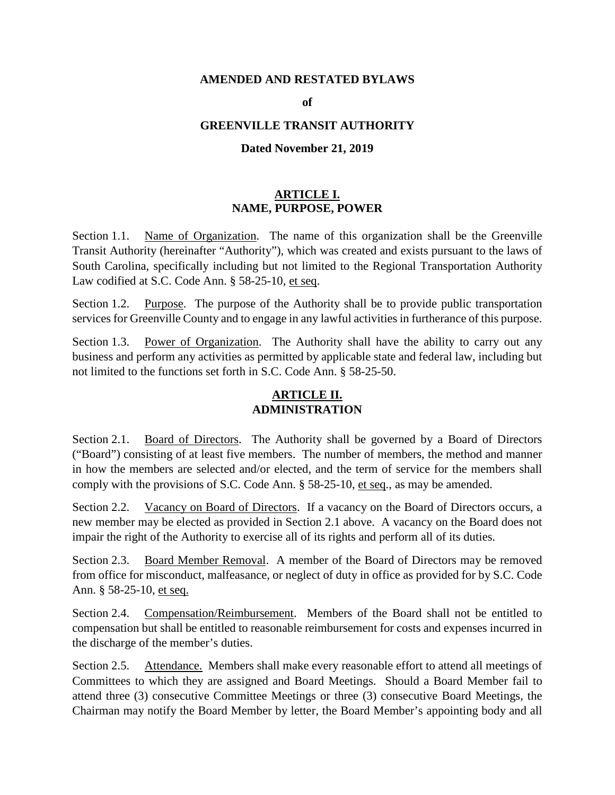#### **AMENDED AND RESTATED BYLAWS**

#### **of**

#### **GREENVILLE TRANSIT AUTHORITY**

#### **Dated November 21, 2019**

### **ARTICLE I. NAME, PURPOSE, POWER**

Section 1.1. Name of Organization. The name of this organization shall be the Greenville Transit Authority (hereinafter "Authority"), which was created and exists pursuant to the laws of South Carolina, specifically including but not limited to the Regional Transportation Authority Law codified at S.C. Code Ann. § 58-25-10, et seq.

Section 1.2. Purpose. The purpose of the Authority shall be to provide public transportation services for Greenville County and to engage in any lawful activities in furtherance of this purpose.

Section 1.3. Power of Organization. The Authority shall have the ability to carry out any business and perform any activities as permitted by applicable state and federal law, including but not limited to the functions set forth in S.C. Code Ann. § 58-25-50.

## **ARTICLE II. ADMINISTRATION**

Section 2.1. Board of Directors. The Authority shall be governed by a Board of Directors ("Board") consisting of at least five members. The number of members, the method and manner in how the members are selected and/or elected, and the term of service for the members shall comply with the provisions of S.C. Code Ann. § 58-25-10, et seq., as may be amended.

Section 2.2. Vacancy on Board of Directors. If a vacancy on the Board of Directors occurs, a new member may be elected as provided in Section 2.1 above. A vacancy on the Board does not impair the right of the Authority to exercise all of its rights and perform all of its duties.

Section 2.3. Board Member Removal. A member of the Board of Directors may be removed from office for misconduct, malfeasance, or neglect of duty in office as provided for by S.C. Code Ann. § 58-25-10, et seq.

Section 2.4. Compensation/Reimbursement. Members of the Board shall not be entitled to compensation but shall be entitled to reasonable reimbursement for costs and expenses incurred in the discharge of the member's duties.

Section 2.5. Attendance. Members shall make every reasonable effort to attend all meetings of Committees to which they are assigned and Board Meetings. Should a Board Member fail to attend three (3) consecutive Committee Meetings or three (3) consecutive Board Meetings, the Chairman may notify the Board Member by letter, the Board Member's appointing body and all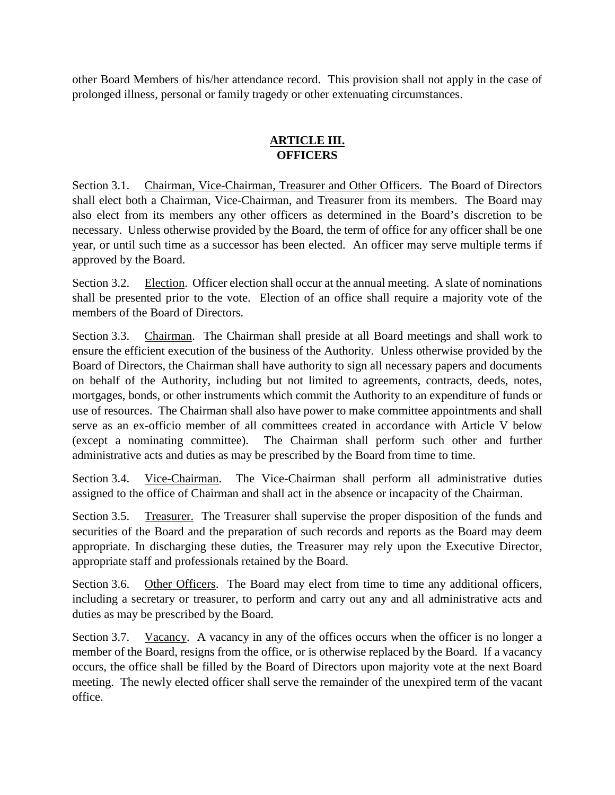other Board Members of his/her attendance record. This provision shall not apply in the case of prolonged illness, personal or family tragedy or other extenuating circumstances.

## **ARTICLE III. OFFICERS**

Section 3.1. Chairman, Vice-Chairman, Treasurer and Other Officers. The Board of Directors shall elect both a Chairman, Vice-Chairman, and Treasurer from its members. The Board may also elect from its members any other officers as determined in the Board's discretion to be necessary. Unless otherwise provided by the Board, the term of office for any officer shall be one year, or until such time as a successor has been elected. An officer may serve multiple terms if approved by the Board.

Section 3.2. Election. Officer election shall occur at the annual meeting. A slate of nominations shall be presented prior to the vote. Election of an office shall require a majority vote of the members of the Board of Directors.

Section 3.3. Chairman. The Chairman shall preside at all Board meetings and shall work to ensure the efficient execution of the business of the Authority. Unless otherwise provided by the Board of Directors, the Chairman shall have authority to sign all necessary papers and documents on behalf of the Authority, including but not limited to agreements, contracts, deeds, notes, mortgages, bonds, or other instruments which commit the Authority to an expenditure of funds or use of resources. The Chairman shall also have power to make committee appointments and shall serve as an ex-officio member of all committees created in accordance with Article V below (except a nominating committee). The Chairman shall perform such other and further administrative acts and duties as may be prescribed by the Board from time to time.

Section 3.4. Vice-Chairman. The Vice-Chairman shall perform all administrative duties assigned to the office of Chairman and shall act in the absence or incapacity of the Chairman.

Section 3.5. Treasurer. The Treasurer shall supervise the proper disposition of the funds and securities of the Board and the preparation of such records and reports as the Board may deem appropriate. In discharging these duties, the Treasurer may rely upon the Executive Director, appropriate staff and professionals retained by the Board.

Section 3.6. Other Officers. The Board may elect from time to time any additional officers, including a secretary or treasurer, to perform and carry out any and all administrative acts and duties as may be prescribed by the Board.

Section 3.7. Vacancy. A vacancy in any of the offices occurs when the officer is no longer a member of the Board, resigns from the office, or is otherwise replaced by the Board. If a vacancy occurs, the office shall be filled by the Board of Directors upon majority vote at the next Board meeting. The newly elected officer shall serve the remainder of the unexpired term of the vacant office.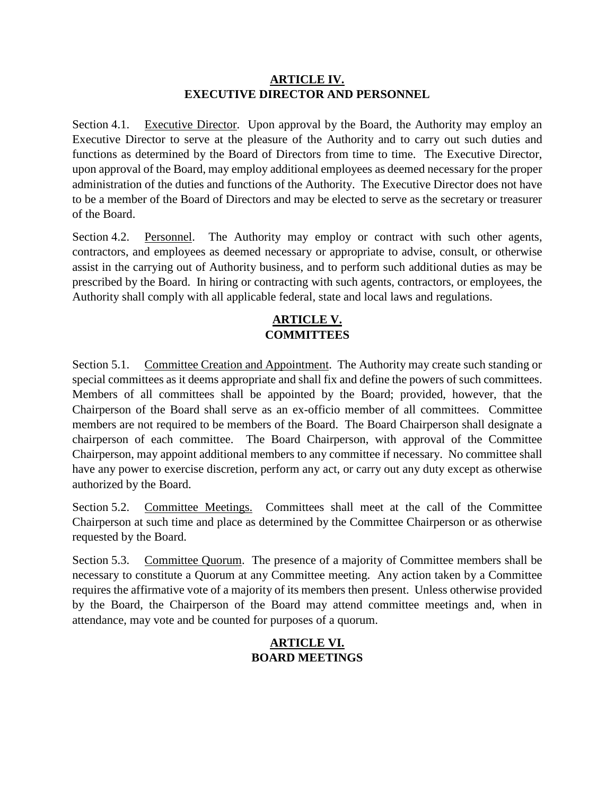### **ARTICLE IV. EXECUTIVE DIRECTOR AND PERSONNEL**

Section 4.1. Executive Director. Upon approval by the Board, the Authority may employ an Executive Director to serve at the pleasure of the Authority and to carry out such duties and functions as determined by the Board of Directors from time to time. The Executive Director, upon approval of the Board, may employ additional employees as deemed necessary for the proper administration of the duties and functions of the Authority. The Executive Director does not have to be a member of the Board of Directors and may be elected to serve as the secretary or treasurer of the Board.

Section 4.2. Personnel. The Authority may employ or contract with such other agents, contractors, and employees as deemed necessary or appropriate to advise, consult, or otherwise assist in the carrying out of Authority business, and to perform such additional duties as may be prescribed by the Board. In hiring or contracting with such agents, contractors, or employees, the Authority shall comply with all applicable federal, state and local laws and regulations.

# **ARTICLE V. COMMITTEES**

Section 5.1. Committee Creation and Appointment. The Authority may create such standing or special committees as it deems appropriate and shall fix and define the powers of such committees. Members of all committees shall be appointed by the Board; provided, however, that the Chairperson of the Board shall serve as an ex-officio member of all committees. Committee members are not required to be members of the Board. The Board Chairperson shall designate a chairperson of each committee. The Board Chairperson, with approval of the Committee Chairperson, may appoint additional members to any committee if necessary. No committee shall have any power to exercise discretion, perform any act, or carry out any duty except as otherwise authorized by the Board.

Section 5.2. Committee Meetings. Committees shall meet at the call of the Committee Chairperson at such time and place as determined by the Committee Chairperson or as otherwise requested by the Board.

Section 5.3. Committee Quorum. The presence of a majority of Committee members shall be necessary to constitute a Quorum at any Committee meeting. Any action taken by a Committee requires the affirmative vote of a majority of its members then present. Unless otherwise provided by the Board, the Chairperson of the Board may attend committee meetings and, when in attendance, may vote and be counted for purposes of a quorum.

## **ARTICLE VI. BOARD MEETINGS**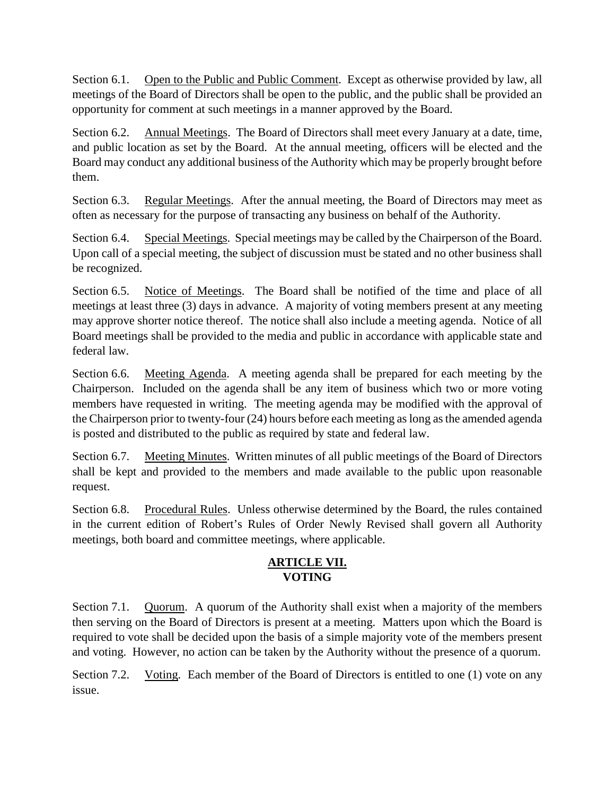Section 6.1. Open to the Public and Public Comment. Except as otherwise provided by law, all meetings of the Board of Directors shall be open to the public, and the public shall be provided an opportunity for comment at such meetings in a manner approved by the Board.

Section 6.2. Annual Meetings. The Board of Directors shall meet every January at a date, time, and public location as set by the Board. At the annual meeting, officers will be elected and the Board may conduct any additional business of the Authority which may be properly brought before them.

Section 6.3. Regular Meetings. After the annual meeting, the Board of Directors may meet as often as necessary for the purpose of transacting any business on behalf of the Authority.

Section 6.4. Special Meetings. Special meetings may be called by the Chairperson of the Board. Upon call of a special meeting, the subject of discussion must be stated and no other business shall be recognized.

Section 6.5. Notice of Meetings. The Board shall be notified of the time and place of all meetings at least three (3) days in advance. A majority of voting members present at any meeting may approve shorter notice thereof. The notice shall also include a meeting agenda. Notice of all Board meetings shall be provided to the media and public in accordance with applicable state and federal law.

Section 6.6. Meeting Agenda. A meeting agenda shall be prepared for each meeting by the Chairperson. Included on the agenda shall be any item of business which two or more voting members have requested in writing. The meeting agenda may be modified with the approval of the Chairperson prior to twenty-four (24) hours before each meeting as long as the amended agenda is posted and distributed to the public as required by state and federal law.

Section 6.7. Meeting Minutes. Written minutes of all public meetings of the Board of Directors shall be kept and provided to the members and made available to the public upon reasonable request.

Section 6.8. Procedural Rules. Unless otherwise determined by the Board, the rules contained in the current edition of Robert's Rules of Order Newly Revised shall govern all Authority meetings, both board and committee meetings, where applicable.

## **ARTICLE VII. VOTING**

Section 7.1. Quorum. A quorum of the Authority shall exist when a majority of the members then serving on the Board of Directors is present at a meeting. Matters upon which the Board is required to vote shall be decided upon the basis of a simple majority vote of the members present and voting. However, no action can be taken by the Authority without the presence of a quorum.

Section 7.2. Voting. Each member of the Board of Directors is entitled to one (1) vote on any issue.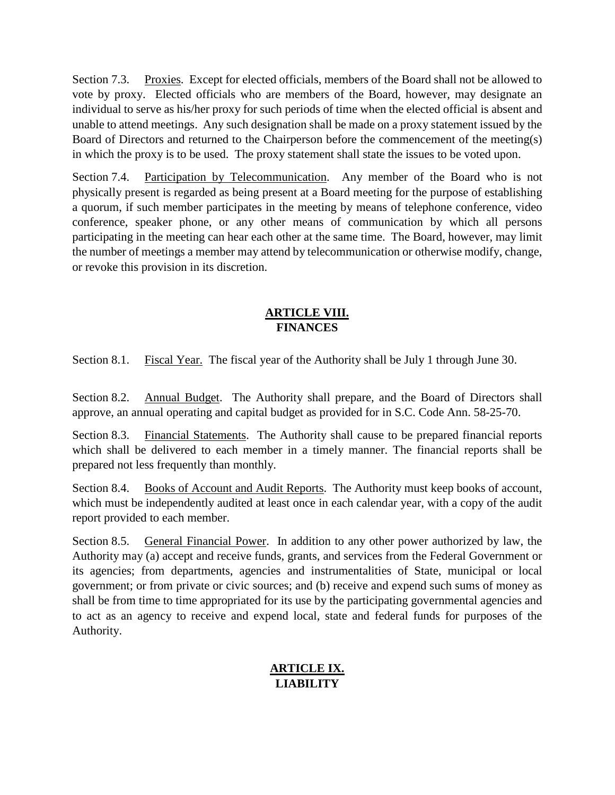Section 7.3. Proxies. Except for elected officials, members of the Board shall not be allowed to vote by proxy. Elected officials who are members of the Board, however, may designate an individual to serve as his/her proxy for such periods of time when the elected official is absent and unable to attend meetings. Any such designation shall be made on a proxy statement issued by the Board of Directors and returned to the Chairperson before the commencement of the meeting(s) in which the proxy is to be used. The proxy statement shall state the issues to be voted upon.

Section 7.4. Participation by Telecommunication. Any member of the Board who is not physically present is regarded as being present at a Board meeting for the purpose of establishing a quorum, if such member participates in the meeting by means of telephone conference, video conference, speaker phone, or any other means of communication by which all persons participating in the meeting can hear each other at the same time. The Board, however, may limit the number of meetings a member may attend by telecommunication or otherwise modify, change, or revoke this provision in its discretion.

### **ARTICLE VIII. FINANCES**

Section 8.1. Fiscal Year.The fiscal year of the Authority shall be July 1 through June 30.

Section 8.2. Annual Budget. The Authority shall prepare, and the Board of Directors shall approve, an annual operating and capital budget as provided for in S.C. Code Ann. 58-25-70.

Section 8.3. Financial Statements. The Authority shall cause to be prepared financial reports which shall be delivered to each member in a timely manner. The financial reports shall be prepared not less frequently than monthly.

Section 8.4. Books of Account and Audit Reports. The Authority must keep books of account, which must be independently audited at least once in each calendar year, with a copy of the audit report provided to each member.

Section 8.5. General Financial Power. In addition to any other power authorized by law, the Authority may (a) accept and receive funds, grants, and services from the Federal Government or its agencies; from departments, agencies and instrumentalities of State, municipal or local government; or from private or civic sources; and (b) receive and expend such sums of money as shall be from time to time appropriated for its use by the participating governmental agencies and to act as an agency to receive and expend local, state and federal funds for purposes of the Authority.

# **ARTICLE IX. LIABILITY**